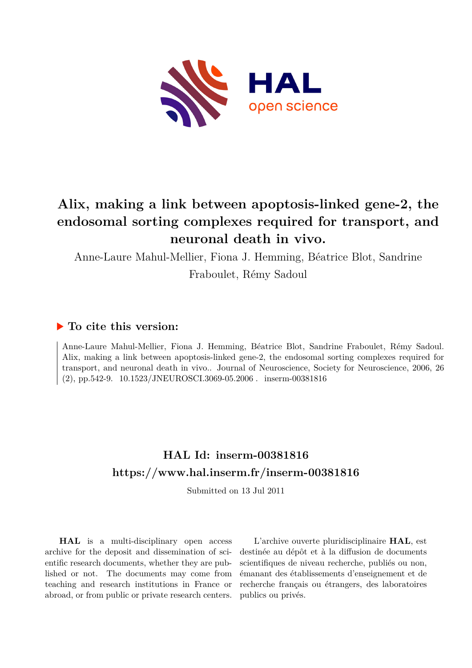

## **Alix, making a link between apoptosis-linked gene-2, the endosomal sorting complexes required for transport, and neuronal death in vivo.**

Anne-Laure Mahul-Mellier, Fiona J. Hemming, Béatrice Blot, Sandrine

Fraboulet, Rémy Sadoul

### **To cite this version:**

Anne-Laure Mahul-Mellier, Fiona J. Hemming, Béatrice Blot, Sandrine Fraboulet, Rémy Sadoul. Alix, making a link between apoptosis-linked gene-2, the endosomal sorting complexes required for transport, and neuronal death in vivo.. Journal of Neuroscience, Society for Neuroscience, 2006, 26  $(2)$ , pp.542-9.  $10.1523/JNEUROSCI.3069-05.2006$ . inserm-00381816

### **HAL Id: inserm-00381816 <https://www.hal.inserm.fr/inserm-00381816>**

Submitted on 13 Jul 2011

**HAL** is a multi-disciplinary open access archive for the deposit and dissemination of scientific research documents, whether they are published or not. The documents may come from teaching and research institutions in France or abroad, or from public or private research centers.

L'archive ouverte pluridisciplinaire **HAL**, est destinée au dépôt et à la diffusion de documents scientifiques de niveau recherche, publiés ou non, émanant des établissements d'enseignement et de recherche français ou étrangers, des laboratoires publics ou privés.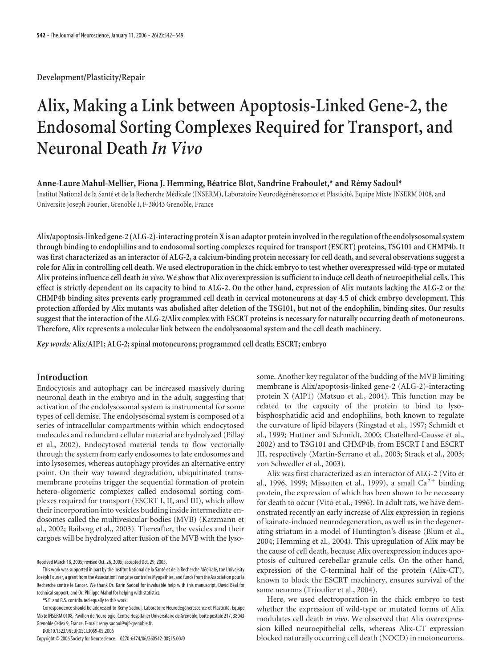**Development/Plasticity/Repair**

# **Alix, Making a Link between Apoptosis-Linked Gene-2, the Endosomal Sorting Complexes Required for Transport, and Neuronal Death** *In Vivo*

#### Anne-Laure Mahul-Mellier, Fiona J. Hemming, Béatrice Blot, Sandrine Fraboulet,\* and Rémy Sadoul\*

Institut National de la Santé et de la Recherche Médicale (INSERM), Laboratoire Neurodégénérescence et Plasticité, Equipe Mixte INSERM 0108, and Universite Joseph Fourier, Grenoble I, F-38043 Grenoble, France

**Alix/apoptosis-linked gene-2 (ALG-2)-interacting protein X is an adaptor protein involved inthe regulation ofthe endolysosomal system through binding to endophilins and to endosomal sorting complexes required for transport (ESCRT) proteins, TSG101 and CHMP4b. It was first characterized as an interactor of ALG-2, a calcium-binding protein necessary for cell death, and several observations suggest a role for Alix in controlling cell death. We used electroporation in the chick embryo to test whether overexpressed wild-type or mutated Alix proteins influence cell death** *in vivo***. We show that Alix overexpression is sufficient to induce cell death of neuroepithelial cells. This effect is strictly dependent on its capacity to bind to ALG-2. On the other hand, expression of Alix mutants lacking the ALG-2 or the CHMP4b binding sites prevents early programmed cell death in cervical motoneurons at day 4.5 of chick embryo development. This protection afforded by Alix mutants was abolished after deletion of the TSG101, but not of the endophilin, binding sites. Our results suggest that the interaction of the ALG-2/Alix complex with ESCRT proteins is necessary for naturally occurring death of motoneurons. Therefore, Alix represents a molecular link between the endolysosomal system and the cell death machinery.**

*Key words:* **Alix/AIP1; ALG-2; spinal motoneurons; programmed cell death; ESCRT; embryo**

#### **Introduction**

Endocytosis and autophagy can be increased massively during neuronal death in the embryo and in the adult, suggesting that activation of the endolysosomal system is instrumental for some types of cell demise. The endolysosomal system is composed of a series of intracellular compartments within which endocytosed molecules and redundant cellular material are hydrolyzed (Pillay et al., 2002). Endocytosed material tends to flow vectorially through the system from early endosomes to late endosomes and into lysosomes, whereas autophagy provides an alternative entry point. On their way toward degradation, ubiquitinated transmembrane proteins trigger the sequential formation of protein hetero-oligomeric complexes called endosomal sorting complexes required for transport (ESCRT I, II, and III), which allow their incorporation into vesicles budding inside intermediate endosomes called the multivesicular bodies (MVB) (Katzmann et al., 2002; Raiborg et al., 2003). Thereafter, the vesicles and their cargoes will be hydrolyzed after fusion of the MVB with the lyso-

Received March 18, 2005; revised Oct. 26, 2005; accepted Oct. 29, 2005.

\*S.F. and R.S. contributed equally to this work.

Correspondence should be addressed to Rémy Sadoul, Laboratoire Neurodégénérescence et Plasticité, Equipe Mixte INSERM 0108, Pavillon de Neurologie, Centre Hospitalier Universitaire de Grenoble, boite postale 217, 38043 Grenoble Cedex 9, France. E-mail: remy.sadoul@ujf-grenoble.fr.

DOI:10.1523/JNEUROSCI.3069-05.2006

Copyright © 2006 Society for Neuroscience 0270-6474/06/260542-08\$15.00/0

some. Another key regulator of the budding of the MVB limiting membrane is Alix/apoptosis-linked gene-2 (ALG-2)-interacting protein X (AIP1) (Matsuo et al., 2004). This function may be related to the capacity of the protein to bind to lysobisphosphatidic acid and endophilins, both known to regulate the curvature of lipid bilayers (Ringstad et al., 1997; Schmidt et al., 1999; Huttner and Schmidt, 2000; Chatellard-Causse et al., 2002) and to TSG101 and CHMP4b, from ESCRT I and ESCRT III, respectively (Martin-Serrano et al., 2003; Strack et al., 2003; von Schwedler et al., 2003).

Alix was first characterized as an interactor of ALG-2 (Vito et al., 1996, 1999; Missotten et al., 1999), a small  $Ca^{2+}$  binding protein, the expression of which has been shown to be necessary for death to occur (Vito et al., 1996). In adult rats, we have demonstrated recently an early increase of Alix expression in regions of kainate-induced neurodegeneration, as well as in the degenerating striatum in a model of Huntington's disease (Blum et al., 2004; Hemming et al., 2004). This upregulation of Alix may be the cause of cell death, because Alix overexpression induces apoptosis of cultured cerebellar granule cells. On the other hand, expression of the C-terminal half of the protein (Alix-CT), known to block the ESCRT machinery, ensures survival of the same neurons (Trioulier et al., 2004).

Here, we used electroporation in the chick embryo to test whether the expression of wild-type or mutated forms of Alix modulates cell death *in vivo*. We observed that Alix overexpression killed neuroepithelial cells, whereas Alix-CT expression blocked naturally occurring cell death (NOCD) in motoneurons.

This work was supported in part by the Institut National de la Santé et de la Recherche Médicale, the University Joseph Fourier, a grant from the Association Française contre les Myopathies, and funds from the Association pour la Recherche contre le Cancer. We thank Dr. Karin Sadoul for invaluable help with this manuscript, David Béal for technical support, and Dr. Philippe Mahul for helping with statistics.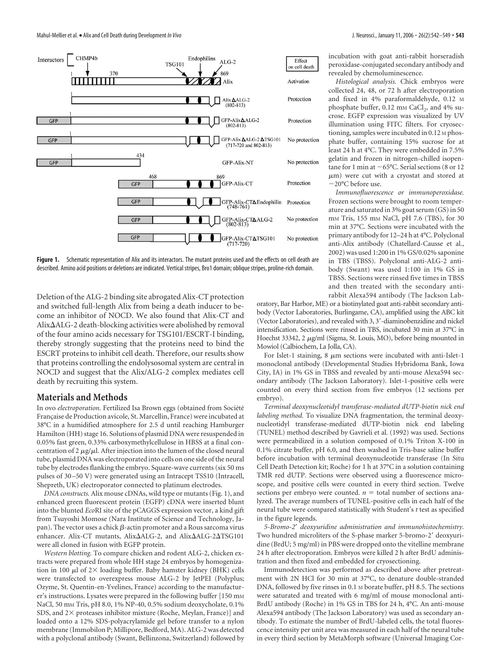

Figure 1. Schematic representation of Alix and its interactors. The mutant proteins used and the effects on cell death are described. Amino acid positions or deletions are indicated. Vertical stripes, Bro1 domain; oblique stripes, proline-rich domain.

Deletion of the ALG-2 binding site abrogated Alix-CT protection and switched full-length Alix from being a death inducer to become an inhibitor of NOCD. We also found that Alix-CT and Alix $\Delta$ ALG-2 death-blocking activities were abolished by removal of the four amino acids necessary for TSG101/ESCRT-I binding, thereby strongly suggesting that the proteins need to bind the ESCRT proteins to inhibit cell death. Therefore, our results show that proteins controlling the endolysosomal system are central in NOCD and suggest that the Alix/ALG-2 complex mediates cell death by recruiting this system.

#### **Materials and Methods**

In ovo *electroporation*. Fertilized Isa Brown eggs (obtained from Société Francaise de Production avicole, St. Marcellin, France) were incubated at 38°C in a humidified atmosphere for 2.5 d until reaching Hamburger Hamilton (HH) stage 16. Solutions of plasmid DNA were resuspended in 0.05% fast green, 0.33% carboxymethylcellulose in HBSS at a final concentration of 2  $\mu$ g/ $\mu$ l. After injection into the lumen of the closed neural tube, plasmid DNA was electroporated into cells on one side of the neural tube by electrodes flanking the embryo. Square-wave currents (six 50 ms pulses of 30 –50 V) were generated using an Intracept TSS10 (Intracell, Shepreth, UK) electroporator connected to platinum electrodes.

*DNA constructs.* Alix mouse cDNAs, wild type or mutants (Fig. 1), and enhanced green fluorescent protein (EGFP) cDNA were inserted blunt into the blunted *Eco*RI site of the pCAGGS expression vector, a kind gift from Tsuyoshi Momose (Nara Institute of Science and Technology, Japan). The vector uses a chick  $\beta$ -actin promoter and a Rous sarcoma virus enhancer. Alix-CT mutants, Alix $\Delta$ ALG-2, and Alix $\Delta$ ALG-2 $\Delta$ TSG101 were all cloned in fusion with EGFP protein.

*Western blotting.* To compare chicken and rodent ALG-2, chicken extracts were prepared from whole HH stage 24 embryos by homogenization in 100  $\mu$ l of 2 $\times$  loading buffer. Baby hamster kidney (BHK) cells were transfected to overexpress mouse ALG-2 by JetPEI (Polyplus; Ozyme, St. Quentin-en-Yvelines, France) according to the manufacturer's instructions. Lysates were prepared in the following buffer [150 mM NaCl, 50 mM Tris, pH 8.0, 1% NP-40, 0.5% sodium deoxycholate, 0.1% SDS, and  $2\times$  proteases inhibitor mixture (Roche, Meylan, France)] and loaded onto a 12% SDS-polyacrylamide gel before transfer to a nylon membrane (Immobilon P; Millipore, Bedford, MA). ALG-2 was detected with a polyclonal antibody (Swant, Bellinzona, Switzerland) followed by incubation with goat anti-rabbit horseradish peroxidase-conjugated secondary antibody and revealed by chemoluminescence.

*Histological analysis.* Chick embryos were collected 24, 48, or 72 h after electroporation and fixed in 4% paraformaldehyde, 0.12 M phosphate buffer,  $0.12 \text{ mm } \text{CaCl}_2$ , and  $4\%$  sucrose. EGFP expression was visualized by UV illumination using FITC filters. For cryosectioning, samples were incubated in 0.12 M phosphate buffer, containing 15% sucrose for at least 24 h at 4°C. They were embedded in 7.5% gelatin and frozen in nitrogen-chilled isopentane for 1 min at  $-65^{\circ}$ C. Serial sections (8 or 12  $\mu$ m) were cut with a cryostat and stored at -20°C before use.

*Immunofluorescence or immunoperoxidase.* Frozen sections were brought to room temperature and saturated in 3% goat serum (GS) in 50 mM Tris, 155 mM NaCl, pH 7.6 (TBS), for 30 min at 37°C. Sections were incubated with the primary antibody for 12–24 h at 4°C. Polyclonal anti-Alix antibody (Chatellard-Causse et al., 2002) was used 1:200 in 1% GS/0.02% saponine in TBS (TBSS). Polyclonal anti-ALG-2 antibody (Swant) was used 1:100 in 1% GS in TBSS. Sections were rinsed five times in TBSS and then treated with the secondary antirabbit Alexa594 antibody (The Jackson Lab-

oratory, Bar Harbor, ME) or a biotinylated goat anti-rabbit secondary antibody (Vector Laboratories, Burlingame, CA), amplified using the ABC kit (Vector Laboratories), and revealed with 3, 3-diaminobenzidine and nickel intensification. Sections were rinsed in TBS, incubated 30 min at 37°C in Hoechst 33342, 2 µg/ml (Sigma, St. Louis, MO), before being mounted in Mowiol (Calbiochem, La Jolla, CA).

For Islet-1 staining, 8  $\mu$ m sections were incubated with anti-Islet-1 monoclonal antibody (Developmental Studies Hybridoma Bank, Iowa City, IA) in 1% GS in TBSS and revealed by anti-mouse Alexa594 secondary antibody (The Jackson Laboratory). Islet-1-positive cells were counted on every third section from five embryos (12 sections per embryo).

*Terminal deoxynucleotidyl transferase-mediated dUTP-biotin nick end labeling method.* To visualize DNA fragmentation, the terminal deoxynucleotidyl transferase-mediated dUTP-biotin nick end labeling (TUNEL) method described by Gavrieli et al. (1992) was used. Sections were permeabilized in a solution composed of 0.1% Triton X-100 in 0.1% citrate buffer, pH 6.0, and then washed in Tris-base saline buffer before incubation with terminal deoxynucleotide transferase (In Situ Cell Death Detection kit; Roche) for 1 h at 37°C in a solution containing TMR red dUTP. Sections were observed using a fluorescence microscope, and positive cells were counted in every third section. Twelve sections per embryo were counted.  $n =$  total number of sections analyzed. The average numbers of TUNEL-positive cells in each half of the neural tube were compared statistically with Student's *t* test as specified in the figure legends.

*5-Bromo-2 deoxyuridine administration and immunohistochemistry.* Two hundred microliters of the S-phase marker 5-bromo-2 deoxyuridine (BrdU; 5 mg/ml) in PBS were dropped onto the vitelline membrane 24 h after electroporation. Embryos were killed 2 h after BrdU administration and then fixed and embedded for cryosectioning.

Immunodetection was performed as described above after pretreatment with 2N HCl for 30 min at 37°C, to denature double-stranded DNA, followed by five rinses in 0.1 M borate buffer, pH 8.5. The sections were saturated and treated with 6 mg/ml of mouse monoclonal anti-BrdU antibody (Roche) in 1% GS in TBS for 24 h, 4°C. An anti-mouse Alexa594 antibody (The Jackson Laboratory) was used as secondary antibody. To estimate the number of BrdU-labeled cells, the total fluorescence intensity per unit area was measured in each half of the neural tube in every third section by MetaMorph software (Universal Imaging Cor-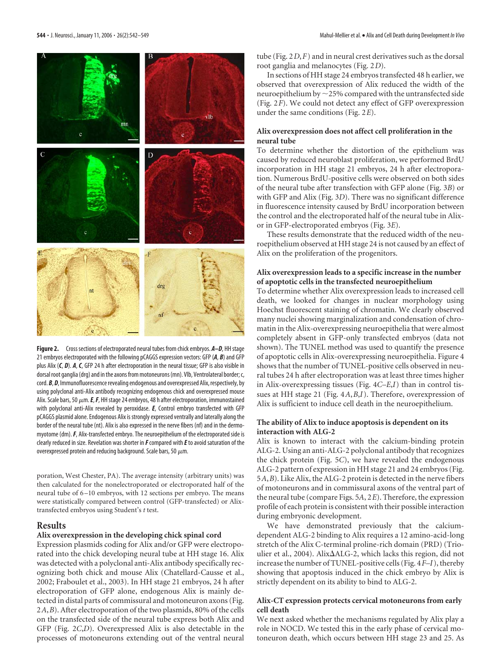

**Figure 2.** Cross sections of electroporated neural tubes from chick embryos. *A–D*, HH stage 21 embryos electroporated with the following pCAGGS expression vectors: GFP (*A*, *B*) and GFP plus Alix (*C*, *D*). *A*, *C*, GFP 24 h after electroporation in the neural tissue; GFP is also visible in dorsal root ganglia (drg) and in the axons from motoneurons (mn). Vlb, Ventrolateral border; c, cord. **B**, **D**, Immunofluorescence revealing endogenous and overexpressed Alix, respectively, by using polyclonal anti-Alix antibody recognizing endogenous chick and overexpressed mouse Alix. Scale bars, 50  $\mu$ m. *E*, *F*, HH stage 24 embryos, 48 h after electroporation, immunostained with polyclonal anti-Alix revealed by peroxidase. *E*, Control embryo transfected with GFP pCAGGS plasmid alone. Endogenous Alix is strongly expressed ventrally and laterally along the border of the neural tube (nt). Alix is also expressed in the nerve fibers (nf) and in the dermomyotome (dm).*F*, Alix-transfected embryo. The neuroepithelium of the electroporated side is clearly reduced in size. Revelation was shorter in *F*compared with *E*to avoid saturation of the overexpressed protein and reducing background. Scale bars, 50  $\mu$ m.

poration, West Chester, PA). The average intensity (arbitrary units) was then calculated for the nonelectroporated or electroporated half of the neural tube of 6 –10 embryos, with 12 sections per embryo. The means were statistically compared between control (GFP-transfected) or Alixtransfected embryos using Student's *t* test.

#### **Results**

#### **Alix overexpression in the developing chick spinal cord**

Expression plasmids coding for Alix and/or GFP were electroporated into the chick developing neural tube at HH stage 16. Alix was detected with a polyclonal anti-Alix antibody specifically recognizing both chick and mouse Alix (Chatellard-Causse et al., 2002; Fraboulet et al., 2003). In HH stage 21 embryos, 24 h after electroporation of GFP alone, endogenous Alix is mainly detected in distal parts of commissural and motoneuron axons (Fig. 2*A*,*B*). After electroporation of the two plasmids, 80% of the cells on the transfected side of the neural tube express both Alix and GFP (Fig. 2*C*,*D*). Overexpressed Alix is also detectable in the processes of motoneurons extending out of the ventral neural

tube (Fig. 2*D*,*F*) and in neural crest derivatives such as the dorsal root ganglia and melanocytes (Fig. 2*D*).

In sections of HH stage 24 embryos transfected 48 h earlier, we observed that overexpression of Alix reduced the width of the neuroepithelium by  $\sim$  25% compared with the untransfected side (Fig. 2*F*). We could not detect any effect of GFP overexpression under the same conditions (Fig. 2*E*).

#### **Alix overexpression does not affect cell proliferation in the neural tube**

To determine whether the distortion of the epithelium was caused by reduced neuroblast proliferation, we performed BrdU incorporation in HH stage 21 embryos, 24 h after electroporation. Numerous BrdU-positive cells were observed on both sides of the neural tube after transfection with GFP alone (Fig. 3*B*) or with GFP and Alix (Fig. 3*D*). There was no significant difference in fluorescence intensity caused by BrdU incorporation between the control and the electroporated half of the neural tube in Alixor in GFP-electroporated embryos (Fig. 3*E*).

These results demonstrate that the reduced width of the neuroepithelium observed at HH stage 24 is not caused by an effect of Alix on the proliferation of the progenitors.

#### **Alix overexpression leads to a specific increase in the number of apoptotic cells in the transfected neuroepithelium**

To determine whether Alix overexpression leads to increased cell death, we looked for changes in nuclear morphology using Hoechst fluorescent staining of chromatin. We clearly observed many nuclei showing marginalization and condensation of chromatin in the Alix-overexpressing neuroepithelia that were almost completely absent in GFP-only transfected embryos (data not shown). The TUNEL method was used to quantify the presence of apoptotic cells in Alix-overexpressing neuroepithelia. Figure 4 shows that the number of TUNEL-positive cells observed in neural tubes 24 h after electroporation was at least three times higher in Alix-overexpressing tissues (Fig. 4*C–E*,*I*) than in control tissues at HH stage 21 (Fig. 4*A*,*B*,*I*). Therefore, overexpression of Alix is sufficient to induce cell death in the neuroepithelium.

#### **The ability of Alix to induce apoptosis is dependent on its interaction with ALG-2**

Alix is known to interact with the calcium-binding protein ALG-2. Using an anti-ALG-2 polyclonal antibody that recognizes the chick protein (Fig. 5*C*), we have revealed the endogenous ALG-2 pattern of expression in HH stage 21 and 24 embryos (Fig. 5*A*,*B*). Like Alix, the ALG-2 protein is detected in the nerve fibers of motoneurons and in commissural axons of the ventral part of the neural tube (compare Figs. 5*A*, 2*E*). Therefore, the expression profile of each protein is consistent with their possible interaction during embryonic development.

We have demonstrated previously that the calciumdependent ALG-2 binding to Alix requires a 12 amino-acid-long stretch of the Alix C-terminal proline-rich domain (PRD) (Trioulier et al., 2004). Alix $\Delta$ ALG-2, which lacks this region, did not increase the number of TUNEL-positive cells (Fig. 4*F–I*), thereby showing that apoptosis induced in the chick embryo by Alix is strictly dependent on its ability to bind to ALG-2.

#### **Alix-CT expression protects cervical motoneurons from early cell death**

We next asked whether the mechanisms regulated by Alix play a role in NOCD. We tested this in the early phase of cervical motoneuron death, which occurs between HH stage 23 and 25. As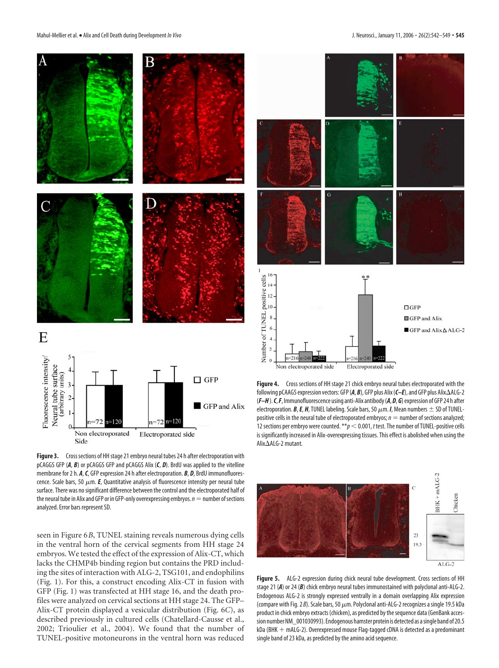

Figure 3. Cross sections of HH stage 21 embryo neural tubes 24 h after electroporation with pCAGGS GFP (*A*, *B*) or pCAGGS GFP and pCAGGS Alix (*C*, *D*). BrdU was applied to the vitelline membrane for 2 h. *A*,*C*, GFP expression 24 h after electroporation. *B*, *D*, BrdU immunofluorescence. Scale bars, 50  $\mu$ m. **E**, Quantitative analysis of fluorescence intensity per neural tube surface. There was no significant difference between the control and the electroporated half of the neural tube in Alix and GFP or in GFP-only overexpressing embryos.  $n =$  number of sections analyzed. Error bars represent SD.

seen in Figure 6*B*, TUNEL staining reveals numerous dying cells in the ventral horn of the cervical segments from HH stage 24 embryos. We tested the effect of the expression of Alix-CT, which lacks the CHMP4b binding region but contains the PRD including the sites of interaction with ALG-2, TSG101, and endophilins (Fig. 1). For this, a construct encoding Alix-CT in fusion with GFP (Fig. 1) was transfected at HH stage 16, and the death profiles were analyzed on cervical sections at HH stage 24. The GFP– Alix-CT protein displayed a vesicular distribution (Fig. 6*C*), as described previously in cultured cells (Chatellard-Causse et al., 2002; Trioulier et al., 2004). We found that the number of TUNEL-positive motoneurons in the ventral horn was reduced



**Figure 4.** Cross sections of HH stage 21 chick embryo neural tubes electroporated with the following pCAAGS expression vectors: GFP (*A*, *B*), GFP plus Alix (*C–E*), and GFP plus Alix-ALG-2 (*F–H*).*C*,*F*, Immunofluorescence using anti-Alix antibody(*A*, *D*, *G*) expression of GFP 24 h after electroporation. *B*, *E*, *H*, TUNEL labeling. Scale bars, 50  $\mu$ m. *I*, Mean numbers  $\pm$  SD of TUNELpositive cells in the neural tube of electroporated embryos;  $n =$  number of sections analyzed; 12 sections per embryo were counted.  $*p < 0.001$ , *t* test. The number of TUNEL-positive cells is significantly increased in Alix-overexpressing tissues. This effect is abolished when using the Alix∆ALG-2 mutant.



Figure 5. ALG-2 expression during chick neural tube development. Cross sections of HH stage 21 (*A*) or 24 (*B*) chick embryo neural tubes immunostained with polyclonal anti-ALG-2. Endogenous ALG-2 is strongly expressed ventrally in a domain overlapping Alix expression (compare with Fig. 2  $B$ ). Scale bars, 50  $\mu$ m. Polyclonal anti-ALG-2 recognizes a single 19.5 kDa product in chick embryo extracts (chicken), as predicted by the sequence data (GenBank accession numberNM\_001030993). Endogenous hamster protein is detected as asingle band of 20.5  $kDa$  (BHK  $+$  mALG-2). Overexpressed mouse Flag-tagged cDNA is detected as a predominant single band of 23 kDa, as predicted by the amino acid sequence.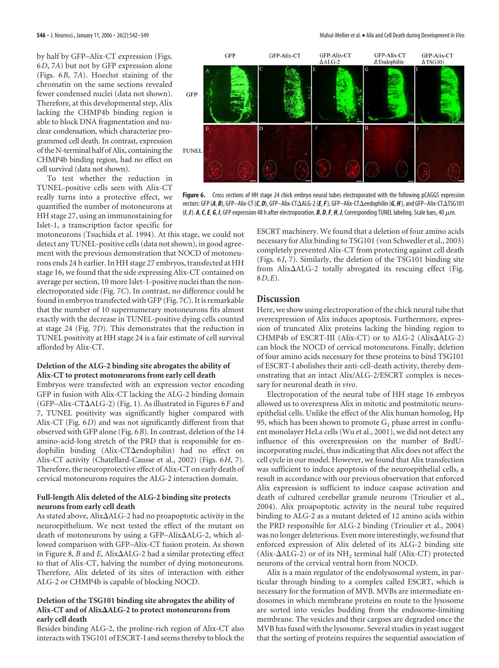by half by GFP–Alix-CT expression (Figs. 6*D*, 7*A*) but not by GFP expression alone (Figs. 6*B*, 7*A*). Hoechst staining of the chromatin on the same sections revealed fewer condensed nuclei (data not shown). Therefore, at this developmental step, Alix lacking the CHMP4b binding region is able to block DNA fragmentation and nuclear condensation, which characterize programmed cell death. In contrast, expression of the N-terminal half of Alix, containing the CHMP4b binding region, had no effect on cell survival (data not shown).

To test whether the reduction in TUNEL-positive cells seen with Alix-CT really turns into a protective effect, we quantified the number of motoneurons at HH stage 27, using an immunostaining for Islet-1, a transcription factor specific for

motoneurons (Tsuchida et al. 1994). At this stage, we could not detect any TUNEL-positive cells (data not shown), in good agreement with the previous demonstration that NOCD of motoneurons ends 24 h earlier. In HH stage 27 embryos, transfected at HH stage 16, we found that the side expressing Alix-CT contained on average per section, 10 more Islet-1-positive nuclei than the nonelectroporated side (Fig. 7*C*). In contrast, no difference could be found in embryos transfected with GFP (Fig. 7*C*). It is remarkable that the number of 10 supernumerary motoneurons fits almost exactly with the decrease in TUNEL-positive dying cells counted at stage 24 (Fig. 7*D*). This demonstrates that the reduction in TUNEL positivity at HH stage 24 is a fair estimate of cell survival afforded by Alix-CT.

#### **Deletion of the ALG-2 binding site abrogates the ability of Alix-CT to protect motoneurons from early cell death**

Embryos were transfected with an expression vector encoding GFP in fusion with Alix-CT lacking the ALG-2 binding domain (GFP-Alix-CT $\Delta$ ALG-2) (Fig. 1). As illustrated in Figures 6*F* and 7, TUNEL positivity was significantly higher compared with Alix-CT (Fig. 6*D*) and was not significantly different from that observed with GFP alone (Fig. 6*B*). In contrast, deletion of the 14 amino-acid-long stretch of the PRD that is responsible for endophilin binding (Alix-CT $\Delta$ endophilin) had no effect on Alix-CT activity (Chatellard-Causse et al., 2002) (Figs. 6*H*, 7). Therefore, the neuroprotective effect of Alix-CT on early death of cervical motoneurons requires the ALG-2 interaction domain.

#### **Full-length Alix deleted of the ALG-2 binding site protects neurons from early cell death**

As stated above, Alix $\Delta$ ALG-2 had no proapoptotic activity in the neuroepithelium. We next tested the effect of the mutant on death of motoneurons by using a GFP-Alix $\Delta$ ALG-2, which allowed comparison with GFP–Alix-CT fusion protein. As shown in Figure 8,  $B$  and  $E$ , Alix $\Delta$ ALG-2 had a similar protecting effect to that of Alix-CT, halving the number of dying motoneurons. Therefore, Alix deleted of its sites of interaction with either ALG-2 or CHMP4b is capable of blocking NOCD.

#### **Deletion of the TSG101 binding site abrogates the ability of Alix-CT and of AlixALG-2 to protect motoneurons from early cell death**

Besides binding ALG-2, the proline-rich region of Alix-CT also interacts with TSG101 of ESCRT-I and seems thereby to block the

ESCRT machinery. We found that a deletion of four amino acids necessary for Alix binding to TSG101 (von Schwedler et al., 2003) completely prevented Alix-CT from protecting against cell death (Figs. 6*J*, 7). Similarly, the deletion of the TSG101 binding site from Alix-ALG-2 totally abrogated its rescuing effect (Fig. 8*D*,*E*).

#### **Discussion**

GFP

GFP-Alix-CT

Here, we show using electroporation of the chick neural tube that overexpression of Alix induces apoptosis. Furthermore, expression of truncated Alix proteins lacking the binding region to CHMP4b of ESCRT-III (Alix-CT) or to ALG-2 (Alix $\Delta$ ALG-2) can block the NOCD of cervical motoneurons. Finally, deletion of four amino acids necessary for these proteins to bind TSG101 of ESCRT-I abolishes their anti-cell-death activity, thereby demonstrating that an intact Alix/ALG-2/ESCRT complex is necessary for neuronal death *in vivo*.

Electroporation of the neural tube of HH stage 16 embryos allowed us to overexpress Alix in mitotic and postmitotic neuroepithelial cells. Unlike the effect of the Alix human homolog, Hp 95, which has been shown to promote  $G_1$  phase arrest in confluent monolayer HeLa cells (Wu et al., 2001), we did not detect any influence of this overexpression on the number of BrdUincorporating nuclei, thus indicating that Alix does not affect the cell cycle in our model. However, we found that Alix transfection was sufficient to induce apoptosis of the neuroepithelial cells, a result in accordance with our previous observation that enforced Alix expression is sufficient to induce caspase activation and death of cultured cerebellar granule neurons (Trioulier et al., 2004). Alix proapoptotic activity in the neural tube required binding to ALG-2 as a mutant deleted of 12 amino acids within the PRD responsible for ALG-2 binding (Trioulier et al., 2004) was no longer deleterious. Even more interestingly, we found that enforced expression of Alix deleted of its ALG-2 binding site  $(Alix- $\Delta$ ALG-2)$  or of its  $NH<sub>2</sub>$  terminal half (Alix-CT) protected neurons of the cervical ventral horn from NOCD.

Alix is a main regulator of the endolysosomal system, in particular through binding to a complex called ESCRT, which is necessary for the formation of MVB. MVBs are intermediate endosomes in which membrane proteins en route to the lysosome are sorted into vesicles budding from the endosome-limiting membrane. The vesicles and their cargoes are degraded once the MVB has fused with the lysosome. Several studies in yeast suggest that the sorting of proteins requires the sequential association of



GFP-Alix-CT

vectors: GFP (*A*, *B*), GFP–Alix-CT (*C*, *D*), GFP–Alix-CT-ALG-2 (*E*,*F*), GFP–Alix-CT-endophilin (*G*, *H*), and GFP–Alix-CT-TSG101  $(I, J)$ . *A*, *C*, *E*, *G*, *I*, GFP expression 48 h after electroporation. *B*, *D*, *F*, *H*, *J*, Corresponding TUNEL labeling. Scale bars, 40  $\mu$ m.

GFP-Alix-CT

 $\Delta$  Endophilin

GFP-Alix-CT  $\Delta$ TSG101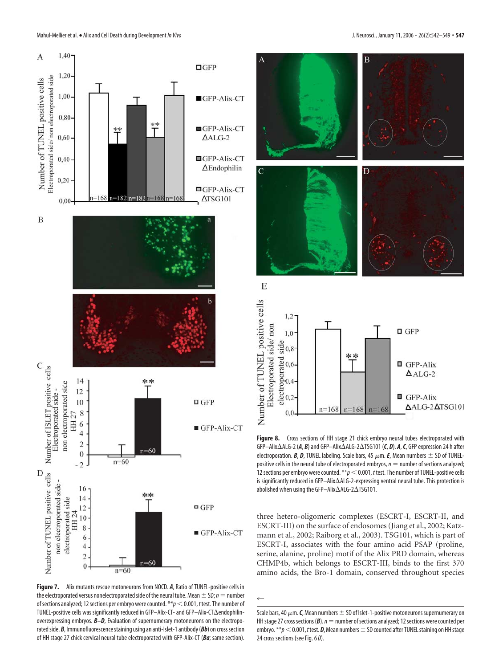

**Figure 7.** Alix mutants rescue motoneurons from NOCD. *A*, Ratio of TUNEL-positive cells in the electroporated versus nonelectroporated side of the neural tube. Mean  $\pm$  SD; *n* = number of sections analyzed; 12 sections per embryo were counted. \*\**p* < 0.001, *t* test. The number of TUNEL-positive cells was significantly reduced in GFP–Alix-CT- and GFP–Alix-CT $\Delta$ endophilinoverexpressing embryos. *B–D*, Evaluation of supernumerary motoneurons on the electroporated side. *B*, Immunofluorescence staining using an anti-Islet-1 antibody (*Bb*) on cross section of HH stage 27 chick cervical neural tube electroporated with GFP-Alix-CT (*Ba*; same section).



**Figure 8.** Cross sections of HH stage 21 chick embryo neural tubes electroporated with GFP–Alix∆ALG-2 (*A, B***)** and GFP–Alix∆ALG-2∆TSG101 (*C, D***).** *A, C,* **GFP expression 24 h after** electroporation. *B*, *D*, TUNEL labeling. Scale bars, 45  $\mu$ m. *E*, Mean numbers  $\pm$  SD of TUNELpositive cells in the neural tube of electroporated embryos,  $n =$  number of sections analyzed; 12 sections per embryo were counted.  $*p < 0.001$ , *t* test. The number of TUNEL-positive cells is significantly reduced in GFP—Alix∆ALG-2-expressing ventral neural tube. This protection is abolished when using the GFP–Alix $\Delta$ ALG-2 $\Delta$ TSG101.

three hetero-oligomeric complexes (ESCRT-I, ESCRT-II, and ESCRT-III) on the surface of endosomes (Jiang et al., 2002; Katzmann et al., 2002; Raiborg et al., 2003). TSG101, which is part of ESCRT-I, associates with the four amino acid PSAP (proline, serine, alanine, proline) motif of the Alix PRD domain, whereas CHMP4b, which belongs to ESCRT-III, binds to the first 370 amino acids, the Bro-1 domain, conserved throughout species

 $\leftarrow$ 

Scale bars, 40  $\mu$ m. *C*, Mean numbers  $\pm$  SD of Islet-1-positive motoneurons supernumerary on HH stage 27 cross sections ( $\mathbf{B}$ ).  $n =$  number of sections analyzed; 12 sections were counted per embryo.  $**p < 0.001$ , *t* test. **D**, Mean numbers  $\pm$  SD counted after TUNEL staining on HH stage 24 cross sections (see Fig. 6 *D*).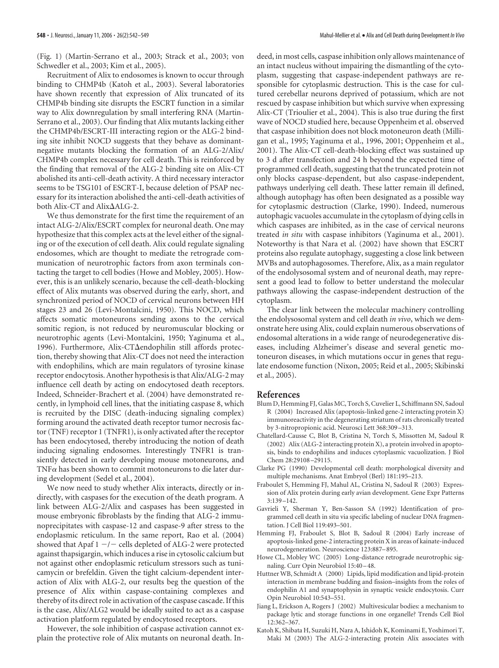(Fig. 1) (Martin-Serrano et al., 2003; Strack et al., 2003; von Schwedler et al., 2003; Kim et al., 2005).

Recruitment of Alix to endosomes is known to occur through binding to CHMP4b (Katoh et al., 2003). Several laboratories have shown recently that expression of Alix truncated of its CHMP4b binding site disrupts the ESCRT function in a similar way to Alix downregulation by small interfering RNA (Martin-Serrano et al., 2003). Our finding that Alix mutants lacking either the CHMP4b/ESCRT-III interacting region or the ALG-2 binding site inhibit NOCD suggests that they behave as dominantnegative mutants blocking the formation of an ALG-2/Alix/ CHMP4b complex necessary for cell death. This is reinforced by the finding that removal of the ALG-2 binding site on Alix-CT abolished its anti-cell-death activity. A third necessary interactor seems to be TSG101 of ESCRT-I, because deletion of PSAP necessary for its interaction abolished the anti-cell-death activities of both Alix-CT and Alix-ALG-2.

We thus demonstrate for the first time the requirement of an intact ALG-2/Alix/ESCRT complex for neuronal death. One may hypothesize that this complex acts at the level either of the signaling or of the execution of cell death. Alix could regulate signaling endosomes, which are thought to mediate the retrograde communication of neurotrophic factors from axon terminals contacting the target to cell bodies (Howe and Mobley, 2005). However, this is an unlikely scenario, because the cell-death-blocking effect of Alix mutants was observed during the early, short, and synchronized period of NOCD of cervical neurons between HH stages 23 and 26 (Levi-Montalcini, 1950). This NOCD, which affects somatic motoneurons sending axons to the cervical somitic region, is not reduced by neuromuscular blocking or neurotrophic agents (Levi-Montalcini, 1950; Yaginuma et al., 1996). Furthermore, Alix-CT $\Delta$ endophilin still affords protection, thereby showing that Alix-CT does not need the interaction with endophilins, which are main regulators of tyrosine kinase receptor endocytosis. Another hypothesis is that Alix/ALG-2 may influence cell death by acting on endocytosed death receptors. Indeed, Schneider-Brachert et al. (2004) have demonstrated recently, in lymphoid cell lines, that the initiating caspase 8, which is recruited by the DISC (death-inducing signaling complex) forming around the activated death receptor tumor necrosis factor (TNF) receptor 1 (TNFR1), is only activated after the receptor has been endocytosed, thereby introducing the notion of death inducing signaling endosomes. Interestingly TNFR1 is transiently detected in early developing mouse motoneurons, and TNF $\alpha$  has been shown to commit motoneurons to die later during development (Sedel et al., 2004).

We now need to study whether Alix interacts, directly or indirectly, with caspases for the execution of the death program. A link between ALG-2/Alix and caspases has been suggested in mouse embryonic fibroblasts by the finding that ALG-2 immunoprecipitates with caspase-12 and caspase-9 after stress to the endoplasmic reticulum. In the same report, Rao et al. (2004) showed that Apaf  $1 - / -$  cells depleted of ALG-2 were protected against thapsigargin, which induces a rise in cytosolic calcium but not against other endoplasmic reticulum stressors such as tunicamycin or brefeldin. Given the tight calcium-dependent interaction of Alix with ALG-2, our results beg the question of the presence of Alix within caspase-containing complexes and thereby of its direct role in activation of the caspase cascade. If this is the case, Alix/ALG2 would be ideally suited to act as a caspase activation platform regulated by endocytosed receptors.

However, the sole inhibition of caspase activation cannot explain the protective role of Alix mutants on neuronal death. Indeed, in most cells, caspase inhibition only allows maintenance of an intact nucleus without impairing the dismantling of the cytoplasm, suggesting that caspase-independent pathways are responsible for cytoplasmic destruction. This is the case for cultured cerebellar neurons deprived of potassium, which are not rescued by caspase inhibition but which survive when expressing Alix-CT (Trioulier et al., 2004). This is also true during the first wave of NOCD studied here, because Oppenheim et al. observed that caspase inhibition does not block motoneuron death (Milligan et al., 1995; Yaginuma et al., 1996, 2001; Oppenheim et al., 2001). The Alix-CT cell-death-blocking effect was sustained up to 3 d after transfection and 24 h beyond the expected time of programmed cell death, suggesting that the truncated protein not only blocks caspase-dependent, but also caspase-independent, pathways underlying cell death. These latter remain ill defined, although autophagy has often been designated as a possible way for cytoplasmic destruction (Clarke, 1990). Indeed, numerous autophagic vacuoles accumulate in the cytoplasm of dying cells in which caspases are inhibited, as in the case of cervical neurons treated *in situ* with caspase inhibitors (Yaginuma et al., 2001). Noteworthy is that Nara et al. (2002) have shown that ESCRT proteins also regulate autophagy, suggesting a close link between MVBs and autophagosomes. Therefore, Alix, as a main regulator of the endolysosomal system and of neuronal death, may represent a good lead to follow to better understand the molecular pathways allowing the caspase-independent destruction of the cytoplasm.

The clear link between the molecular machinery controlling the endolysosomal system and cell death *in vivo*, which we demonstrate here using Alix, could explain numerous observations of endosomal alterations in a wide range of neurodegenerative diseases, including Alzheimer's disease and several genetic motoneuron diseases, in which mutations occur in genes that regulate endosome function (Nixon, 2005; Reid et al., 2005; Skibinski et al., 2005).

#### **References**

- Blum D, Hemming FJ, Galas MC, Torch S, Cuvelier L, Schiffmann SN, Sadoul R (2004) Increased Alix (apoptosis-linked gene-2 interacting protein X) immunoreactivity in the degenerating striatum of rats chronically treated by 3-nitropropionic acid. Neurosci Lett 368:309 –313.
- Chatellard-Causse C, Blot B, Cristina N, Torch S, Missotten M, Sadoul R (2002) Alix (ALG-2 interacting protein X), a protein involved in apoptosis, binds to endophilins and induces cytoplasmic vacuolization. J Biol Chem 28:29108 –29115.
- Clarke PG (1990) Developmental cell death: morphological diversity and multiple mechanisms. Anat Embryol (Berl) 181:195–213.
- Fraboulet S, Hemming FJ, Mahul AL, Cristina N, Sadoul R (2003) Expression of Alix protein during early avian development. Gene Expr Patterns 3:139 –142.
- Gavrieli Y, Sherman Y, Ben-Sasson SA (1992) Identification of programmed cell death in situ via specific labeling of nuclear DNA fragmentation. J Cell Biol 119:493–501.
- Hemming FJ, Fraboulet S, Blot B, Sadoul R (2004) Early increase of apoptosis-linked gene-2 interacting protein X in areas of kainate-induced neurodegeneration. Neuroscience 123:887–895.
- Howe CL, Mobley WC (2005) Long-distance retrograde neurotrophic signaling. Curr Opin Neurobiol 15:40 –48.
- Huttner WB, Schmidt A (2000) Lipids, lipid modification and lipid-protein interaction in membrane budding and fission–insights from the roles of endophilin A1 and synaptophysin in synaptic vesicle endocytosis. Curr Opin Neurobiol 10:543–551.
- Jiang L, Erickson A, Rogers J (2002) Multivesicular bodies: a mechanism to package lytic and storage functions in one organelle? Trends Cell Biol 12:362–367.
- Katoh K, Shibata H, Suzuki H, Nara A, Ishidoh K, Kominami E, Yoshimori T, Maki M (2003) The ALG-2-interacting protein Alix associates with